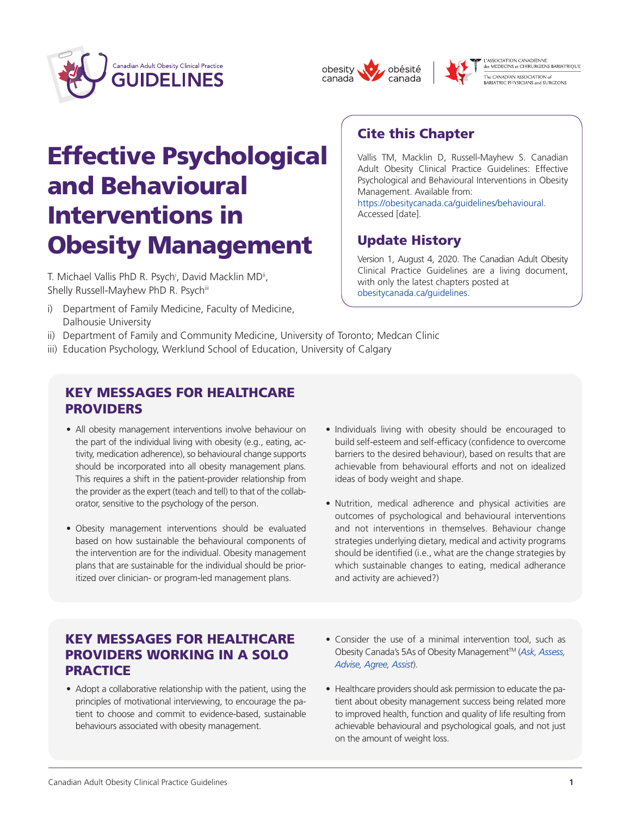





Vallis TM, Macklin D, Russell-Mayhew S. Canadian Adult Obesity Clinical Practice Guidelines: Effective Psychological and Behavioural Interventions in Obesity

Version 1, August 4, 2020. The Canadian Adult Obesity Clinical Practice Guidelines are a living document,

[https://obesitycanada.ca/guidelines/behavioural.](https://obesitycanada.ca/guidelines/behavioural/)

Cite this Chapter

Management. Available from:

Update History

[obesitycanada.ca/guidelines.](https://obesitycanada.ca/guidelines/)

with only the latest chapters posted at

Accessed [date].

L'ASSOCIATION CANADIENNE<br>des MEDECINS et CHIRURGIENS BARIATRIQUE -<br>The CANADIAN ASSOCIATION of<br>BARIATRIC PHYSICIANS and SURGEONS

# Effective Psychological and Behavioural Interventions in Obesity Management

T. Michael Vallis PhD R. Psych<sup>i</sup>, David Macklin MD<sup>ii</sup>, Shelly Russell-Mayhew PhD R. Psychiii

- i) Department of Family Medicine, Faculty of Medicine, Dalhousie University
- ii) Department of Family and Community Medicine, University of Toronto; Medcan Clinic
- iii) Education Psychology, Werklund School of Education, University of Calgary

#### KEY MESSAGES FOR HEALTHCARE PROVIDERS

- All obesity management interventions involve behaviour on the part of the individual living with obesity (e.g., eating, activity, medication adherence), so behavioural change supports should be incorporated into all obesity management plans. This requires a shift in the patient-provider relationship from the provider as the expert (teach and tell) to that of the collaborator, sensitive to the psychology of the person.
- Obesity management interventions should be evaluated based on how sustainable the behavioural components of the intervention are for the individual. Obesity management plans that are sustainable for the individual should be prioritized over clinician- or program-led management plans.
- Individuals living with obesity should be encouraged to build self-esteem and self-efficacy (confidence to overcome barriers to the desired behaviour), based on results that are achievable from behavioural efforts and not on idealized ideas of body weight and shape.
- • Nutrition, medical adherence and physical activities are outcomes of psychological and behavioural interventions and not interventions in themselves. Behaviour change strategies underlying dietary, medical and activity programs should be identified (i.e., what are the change strategies by which sustainable changes to eating, medical adherance and activity are achieved?)

#### KEY MESSAGES FOR HEALTHCARE PROVIDERS WORKING IN A SOLO **PRACTICE**

- Adopt a collaborative relationship with the patient, using the principles of motivational interviewing, to encourage the patient to choose and commit to evidence-based, sustainable behaviours associated with obesity management.
- Consider the use of a minimal intervention tool, such as Obesity Canada's 5As of Obesity ManagementTM (*[Ask, Assess,](https://obesitycanada.ca/5as-adult/)  [Advise, Agree, Assist](https://obesitycanada.ca/5as-adult/)*).
- Healthcare providers should ask permission to educate the patient about obesity management success being related more to improved health, function and quality of life resulting from achievable behavioural and psychological goals, and not just on the amount of weight loss.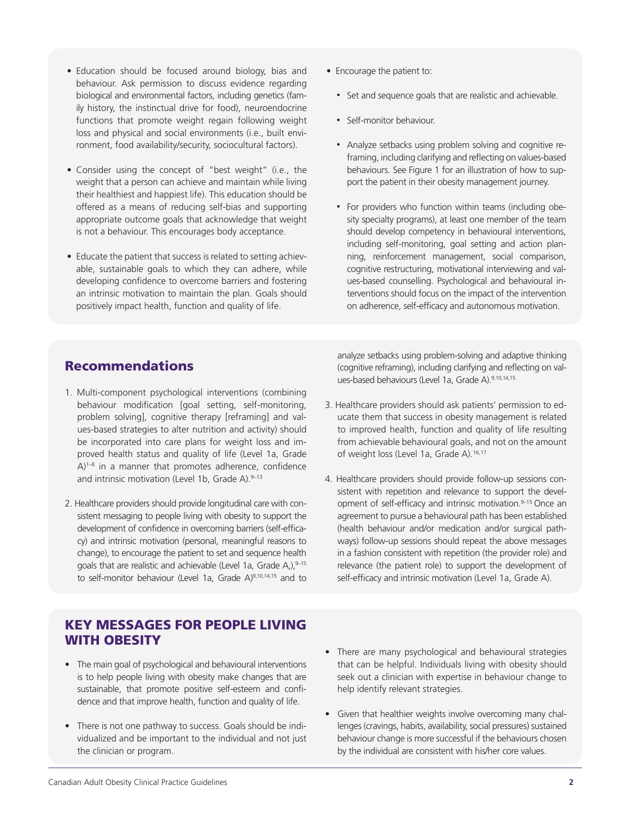- Education should be focused around biology, bias and behaviour. Ask permission to discuss evidence regarding biological and environmental factors, including genetics (family history, the instinctual drive for food), neuroendocrine functions that promote weight regain following weight loss and physical and social environments (i.e., built environment, food availability/security, sociocultural factors).
- • Consider using the concept of "best weight" (i.e., the weight that a person can achieve and maintain while living their healthiest and happiest life). This education should be offered as a means of reducing self-bias and supporting appropriate outcome goals that acknowledge that weight is not a behaviour. This encourages body acceptance.
- Educate the patient that success is related to setting achievable, sustainable goals to which they can adhere, while developing confidence to overcome barriers and fostering an intrinsic motivation to maintain the plan. Goals should positively impact health, function and quality of life.
- Encourage the patient to:
	- Set and sequence goals that are realistic and achievable.
	- Self-monitor behaviour.
	- Analyze setbacks using problem solving and cognitive reframing, including clarifying and reflecting on values-based behaviours. See Figure 1 for an illustration of how to support the patient in their obesity management journey.
	- For providers who function within teams (including obesity specialty programs), at least one member of the team should develop competency in behavioural interventions, including self-monitoring, goal setting and action planning, reinforcement management, social comparison, cognitive restructuring, motivational interviewing and values-based counselling. Psychological and behavioural interventions should focus on the impact of the intervention on adherence, self-efficacy and autonomous motivation.

#### Recommendations

- 1. Multi-component psychological interventions (combining behaviour modification [goal setting, self-monitoring, problem solving], cognitive therapy [reframing] and values-based strategies to alter nutrition and activity) should be incorporated into care plans for weight loss and improved health status and quality of life (Level 1a, Grade A)<sup>1-8</sup> in a manner that promotes adherence, confidence and intrinsic motivation (Level 1b, Grade A).  $9-13$
- 2. Healthcare providers should provide longitudinal care with consistent messaging to people living with obesity to support the development of confidence in overcoming barriers (self-efficacy) and intrinsic motivation (personal, meaningful reasons to change), to encourage the patient to set and sequence health goals that are realistic and achievable (Level 1a, Grade A,),9-15 to self-monitor behaviour (Level 1a, Grade A)<sup>9,10,14,15</sup> and to

analyze setbacks using problem-solving and adaptive thinking (cognitive reframing), including clarifying and reflecting on values-based behaviours (Level 1a, Grade A).9,10,14,15

- 3. Healthcare providers should ask patients' permission to educate them that success in obesity management is related to improved health, function and quality of life resulting from achievable behavioural goals, and not on the amount of weight loss (Level 1a, Grade A).<sup>16,17</sup>
- 4. Healthcare providers should provide follow-up sessions consistent with repetition and relevance to support the development of self-efficacy and intrinsic motivation.<sup>9-15</sup> Once an agreement to pursue a behavioural path has been established (health behaviour and/or medication and/or surgical pathways) follow-up sessions should repeat the above messages in a fashion consistent with repetition (the provider role) and relevance (the patient role) to support the development of self-efficacy and intrinsic motivation (Level 1a, Grade A).

#### KEY MESSAGES FOR PEOPLE LIVING WITH OBESITY

- The main goal of psychological and behavioural interventions is to help people living with obesity make changes that are sustainable, that promote positive self-esteem and confidence and that improve health, function and quality of life.
- There is not one pathway to success. Goals should be individualized and be important to the individual and not just the clinician or program.
- There are many psychological and behavioural strategies that can be helpful. Individuals living with obesity should seek out a clinician with expertise in behaviour change to help identify relevant strategies.
- Given that healthier weights involve overcoming many challenges (cravings, habits, availability, social pressures) sustained behaviour change is more successful if the behaviours chosen by the individual are consistent with his/her core values.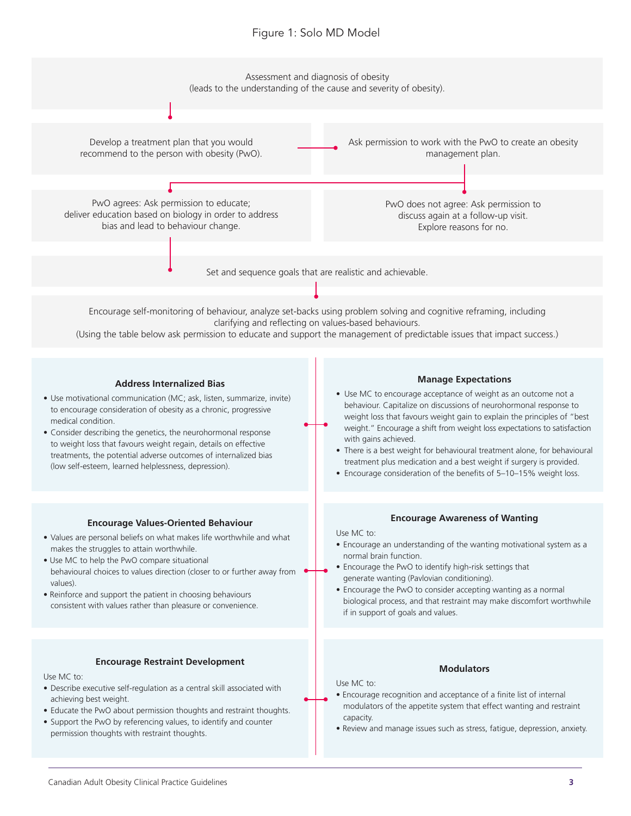#### Figure 1: Solo MD Model

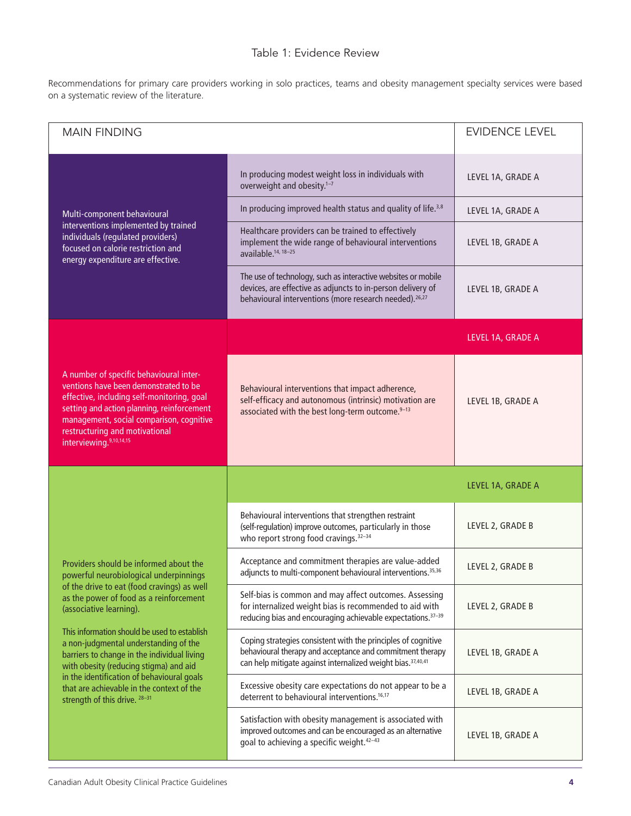#### Table 1: Evidence Review

Recommendations for primary care providers working in solo practices, teams and obesity management specialty services were based on a systematic review of the literature.

| <b>MAIN FINDING</b>                                                                                                                                                                                                                                                                                                                                                                                                                                                                                                 |                                                                                                                                                                                                       | <b>EVIDENCE LEVEL</b> |
|---------------------------------------------------------------------------------------------------------------------------------------------------------------------------------------------------------------------------------------------------------------------------------------------------------------------------------------------------------------------------------------------------------------------------------------------------------------------------------------------------------------------|-------------------------------------------------------------------------------------------------------------------------------------------------------------------------------------------------------|-----------------------|
| Multi-component behavioural<br>interventions implemented by trained<br>individuals (regulated providers)<br>focused on calorie restriction and<br>energy expenditure are effective.                                                                                                                                                                                                                                                                                                                                 | In producing modest weight loss in individuals with<br>overweight and obesity. <sup>1-7</sup>                                                                                                         | LEVEL 1A, GRADE A     |
|                                                                                                                                                                                                                                                                                                                                                                                                                                                                                                                     | In producing improved health status and quality of life. <sup>3,8</sup>                                                                                                                               | LEVEL 1A, GRADE A     |
|                                                                                                                                                                                                                                                                                                                                                                                                                                                                                                                     | Healthcare providers can be trained to effectively<br>implement the wide range of behavioural interventions<br>available. <sup>14, 18-25</sup>                                                        | LEVEL 1B, GRADE A     |
|                                                                                                                                                                                                                                                                                                                                                                                                                                                                                                                     | The use of technology, such as interactive websites or mobile<br>devices, are effective as adjuncts to in-person delivery of<br>behavioural interventions (more research needed). <sup>26,27</sup>    | LEVEL 1B, GRADE A     |
| A number of specific behavioural inter-<br>ventions have been demonstrated to be<br>effective, including self-monitoring, goal<br>setting and action planning, reinforcement<br>management, social comparison, cognitive<br>restructuring and motivational<br>interviewing.9,10,14,15                                                                                                                                                                                                                               |                                                                                                                                                                                                       | LEVEL 1A, GRADE A     |
|                                                                                                                                                                                                                                                                                                                                                                                                                                                                                                                     | Behavioural interventions that impact adherence,<br>self-efficacy and autonomous (intrinsic) motivation are<br>associated with the best long-term outcome.9-13                                        | LEVEL 1B, GRADE A     |
|                                                                                                                                                                                                                                                                                                                                                                                                                                                                                                                     |                                                                                                                                                                                                       | LEVEL 1A, GRADE A     |
|                                                                                                                                                                                                                                                                                                                                                                                                                                                                                                                     | Behavioural interventions that strengthen restraint<br>(self-regulation) improve outcomes, particularly in those<br>who report strong food cravings. <sup>32-34</sup>                                 | LEVEL 2, GRADE B      |
| Providers should be informed about the<br>powerful neurobiological underpinnings<br>of the drive to eat (food cravings) as well<br>as the power of food as a reinforcement<br>(associative learning).<br>This information should be used to establish<br>a non-judgmental understanding of the<br>barriers to change in the individual living<br>with obesity (reducing stigma) and aid<br>in the identification of behavioural goals<br>that are achievable in the context of the<br>strength of this drive. 28-31 | Acceptance and commitment therapies are value-added<br>adjuncts to multi-component behavioural interventions. <sup>35,36</sup>                                                                        | LEVEL 2, GRADE B      |
|                                                                                                                                                                                                                                                                                                                                                                                                                                                                                                                     | Self-bias is common and may affect outcomes. Assessing<br>for internalized weight bias is recommended to aid with<br>reducing bias and encouraging achievable expectations. <sup>37-39</sup>          | LEVEL 2, GRADE B      |
|                                                                                                                                                                                                                                                                                                                                                                                                                                                                                                                     | Coping strategies consistent with the principles of cognitive<br>behavioural therapy and acceptance and commitment therapy<br>can help mitigate against internalized weight bias. <sup>37,40,41</sup> | LEVEL 1B, GRADE A     |
|                                                                                                                                                                                                                                                                                                                                                                                                                                                                                                                     | Excessive obesity care expectations do not appear to be a<br>deterrent to behavioural interventions. <sup>16,17</sup>                                                                                 | LEVEL 1B, GRADE A     |
|                                                                                                                                                                                                                                                                                                                                                                                                                                                                                                                     | Satisfaction with obesity management is associated with<br>improved outcomes and can be encouraged as an alternative<br>goal to achieving a specific weight. <sup>42-43</sup>                         | LEVEL 1B, GRADE A     |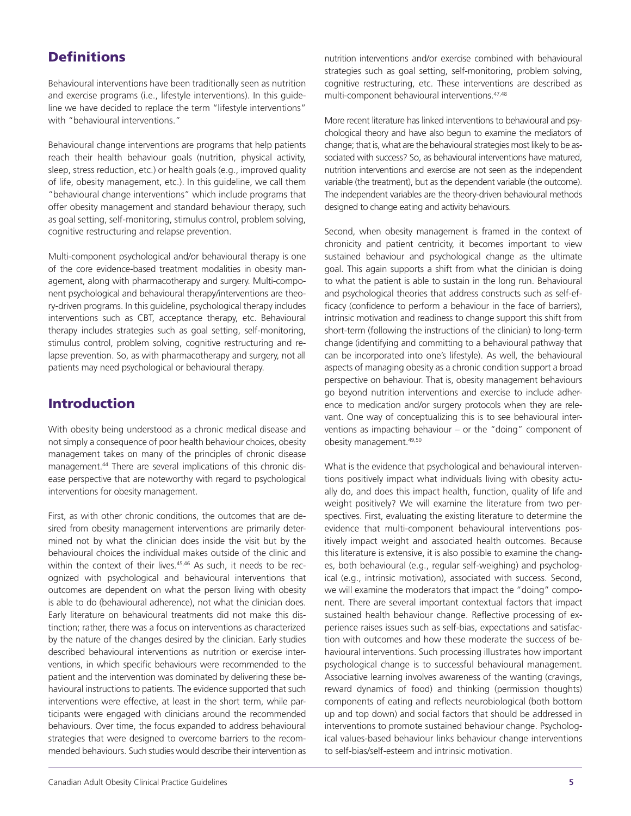### **Definitions**

Behavioural interventions have been traditionally seen as nutrition and exercise programs (i.e., lifestyle interventions). In this guideline we have decided to replace the term "lifestyle interventions" with "behavioural interventions."

Behavioural change interventions are programs that help patients reach their health behaviour goals (nutrition, physical activity, sleep, stress reduction, etc.) or health goals (e.g., improved quality of life, obesity management, etc.). In this guideline, we call them "behavioural change interventions" which include programs that offer obesity management and standard behaviour therapy, such as goal setting, self-monitoring, stimulus control, problem solving, cognitive restructuring and relapse prevention.

Multi-component psychological and/or behavioural therapy is one of the core evidence-based treatment modalities in obesity management, along with pharmacotherapy and surgery. Multi-component psychological and behavioural therapy/interventions are theory-driven programs. In this guideline, psychological therapy includes interventions such as CBT, acceptance therapy, etc. Behavioural therapy includes strategies such as goal setting, self-monitoring, stimulus control, problem solving, cognitive restructuring and relapse prevention. So, as with pharmacotherapy and surgery, not all patients may need psychological or behavioural therapy.

#### Introduction

With obesity being understood as a chronic medical disease and not simply a consequence of poor health behaviour choices, obesity management takes on many of the principles of chronic disease management.44 There are several implications of this chronic disease perspective that are noteworthy with regard to psychological interventions for obesity management.

First, as with other chronic conditions, the outcomes that are desired from obesity management interventions are primarily determined not by what the clinician does inside the visit but by the behavioural choices the individual makes outside of the clinic and within the context of their lives.<sup>45,46</sup> As such, it needs to be recognized with psychological and behavioural interventions that outcomes are dependent on what the person living with obesity is able to do (behavioural adherence), not what the clinician does. Early literature on behavioural treatments did not make this distinction; rather, there was a focus on interventions as characterized by the nature of the changes desired by the clinician. Early studies described behavioural interventions as nutrition or exercise interventions, in which specific behaviours were recommended to the patient and the intervention was dominated by delivering these behavioural instructions to patients. The evidence supported that such interventions were effective, at least in the short term, while participants were engaged with clinicians around the recommended behaviours. Over time, the focus expanded to address behavioural strategies that were designed to overcome barriers to the recommended behaviours. Such studies would describe their intervention as

nutrition interventions and/or exercise combined with behavioural strategies such as goal setting, self-monitoring, problem solving, cognitive restructuring, etc. These interventions are described as multi-component behavioural interventions.47,48

More recent literature has linked interventions to behavioural and psychological theory and have also begun to examine the mediators of change; that is, what are the behavioural strategies most likely to be associated with success? So, as behavioural interventions have matured, nutrition interventions and exercise are not seen as the independent variable (the treatment), but as the dependent variable (the outcome). The independent variables are the theory-driven behavioural methods designed to change eating and activity behaviours.

Second, when obesity management is framed in the context of chronicity and patient centricity, it becomes important to view sustained behaviour and psychological change as the ultimate goal. This again supports a shift from what the clinician is doing to what the patient is able to sustain in the long run. Behavioural and psychological theories that address constructs such as self-efficacy (confidence to perform a behaviour in the face of barriers), intrinsic motivation and readiness to change support this shift from short-term (following the instructions of the clinician) to long-term change (identifying and committing to a behavioural pathway that can be incorporated into one's lifestyle). As well, the behavioural aspects of managing obesity as a chronic condition support a broad perspective on behaviour. That is, obesity management behaviours go beyond nutrition interventions and exercise to include adherence to medication and/or surgery protocols when they are relevant. One way of conceptualizing this is to see behavioural interventions as impacting behaviour – or the "doing" component of obesity management.49,50

What is the evidence that psychological and behavioural interventions positively impact what individuals living with obesity actually do, and does this impact health, function, quality of life and weight positively? We will examine the literature from two perspectives. First, evaluating the existing literature to determine the evidence that multi-component behavioural interventions positively impact weight and associated health outcomes. Because this literature is extensive, it is also possible to examine the changes, both behavioural (e.g., regular self-weighing) and psychological (e.g., intrinsic motivation), associated with success. Second, we will examine the moderators that impact the "doing" component. There are several important contextual factors that impact sustained health behaviour change. Reflective processing of experience raises issues such as self-bias, expectations and satisfaction with outcomes and how these moderate the success of behavioural interventions. Such processing illustrates how important psychological change is to successful behavioural management. Associative learning involves awareness of the wanting (cravings, reward dynamics of food) and thinking (permission thoughts) components of eating and reflects neurobiological (both bottom up and top down) and social factors that should be addressed in interventions to promote sustained behaviour change. Psychological values-based behaviour links behaviour change interventions to self-bias/self-esteem and intrinsic motivation.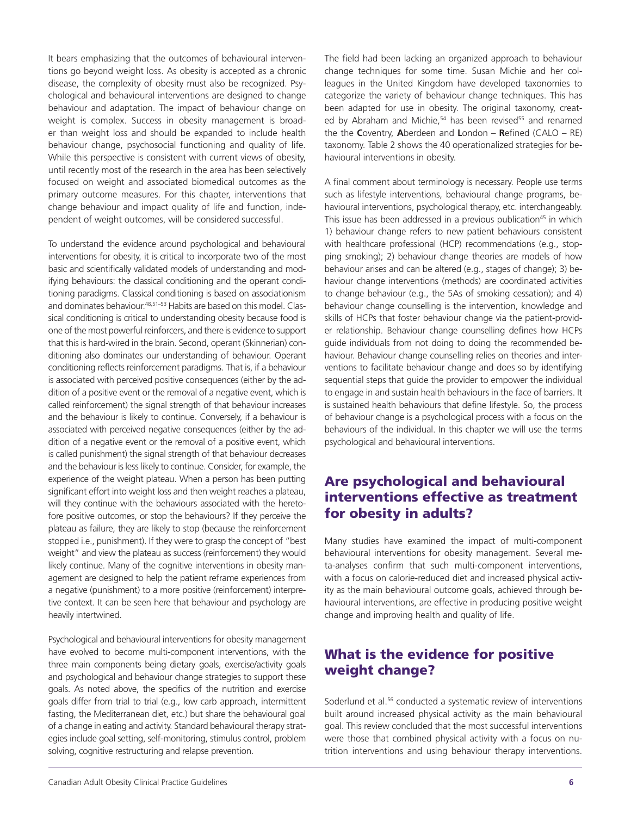It bears emphasizing that the outcomes of behavioural interventions go beyond weight loss. As obesity is accepted as a chronic disease, the complexity of obesity must also be recognized. Psychological and behavioural interventions are designed to change behaviour and adaptation. The impact of behaviour change on weight is complex. Success in obesity management is broader than weight loss and should be expanded to include health behaviour change, psychosocial functioning and quality of life. While this perspective is consistent with current views of obesity, until recently most of the research in the area has been selectively focused on weight and associated biomedical outcomes as the primary outcome measures. For this chapter, interventions that change behaviour and impact quality of life and function, independent of weight outcomes, will be considered successful.

To understand the evidence around psychological and behavioural interventions for obesity, it is critical to incorporate two of the most basic and scientifically validated models of understanding and modifying behaviours: the classical conditioning and the operant conditioning paradigms. Classical conditioning is based on associationism and dominates behaviour.<sup>48,51-53</sup> Habits are based on this model. Classical conditioning is critical to understanding obesity because food is one of the most powerful reinforcers, and there is evidence to support that this is hard-wired in the brain. Second, operant (Skinnerian) conditioning also dominates our understanding of behaviour. Operant conditioning reflects reinforcement paradigms. That is, if a behaviour is associated with perceived positive consequences (either by the addition of a positive event or the removal of a negative event, which is called reinforcement) the signal strength of that behaviour increases and the behaviour is likely to continue. Conversely, if a behaviour is associated with perceived negative consequences (either by the addition of a negative event or the removal of a positive event, which is called punishment) the signal strength of that behaviour decreases and the behaviour is less likely to continue. Consider, for example, the experience of the weight plateau. When a person has been putting significant effort into weight loss and then weight reaches a plateau, will they continue with the behaviours associated with the heretofore positive outcomes, or stop the behaviours? If they perceive the plateau as failure, they are likely to stop (because the reinforcement stopped i.e., punishment). If they were to grasp the concept of "best weight" and view the plateau as success (reinforcement) they would likely continue. Many of the cognitive interventions in obesity management are designed to help the patient reframe experiences from a negative (punishment) to a more positive (reinforcement) interpretive context. It can be seen here that behaviour and psychology are heavily intertwined.

Psychological and behavioural interventions for obesity management have evolved to become multi-component interventions, with the three main components being dietary goals, exercise/activity goals and psychological and behaviour change strategies to support these goals. As noted above, the specifics of the nutrition and exercise goals differ from trial to trial (e.g., low carb approach, intermittent fasting, the Mediterranean diet, etc.) but share the behavioural goal of a change in eating and activity. Standard behavioural therapy strategies include goal setting, self-monitoring, stimulus control, problem solving, cognitive restructuring and relapse prevention.

The field had been lacking an organized approach to behaviour change techniques for some time. Susan Michie and her colleagues in the United Kingdom have developed taxonomies to categorize the variety of behaviour change techniques. This has been adapted for use in obesity. The original taxonomy, created by Abraham and Michie,<sup>54</sup> has been revised<sup>55</sup> and renamed the the **C**oventry, **A**berdeen and **L**ondon – **R**efined (CALO – RE) taxonomy. Table 2 shows the 40 operationalized strategies for behavioural interventions in obesity.

A final comment about terminology is necessary. People use terms such as lifestyle interventions, behavioural change programs, behavioural interventions, psychological therapy, etc. interchangeably. This issue has been addressed in a previous publication<sup>45</sup> in which 1) behaviour change refers to new patient behaviours consistent with healthcare professional (HCP) recommendations (e.g., stopping smoking); 2) behaviour change theories are models of how behaviour arises and can be altered (e.g., stages of change); 3) behaviour change interventions (methods) are coordinated activities to change behaviour (e.g., the 5As of smoking cessation); and 4) behaviour change counselling is the intervention, knowledge and skills of HCPs that foster behaviour change via the patient-provider relationship. Behaviour change counselling defines how HCPs guide individuals from not doing to doing the recommended behaviour. Behaviour change counselling relies on theories and interventions to facilitate behaviour change and does so by identifying sequential steps that guide the provider to empower the individual to engage in and sustain health behaviours in the face of barriers. It is sustained health behaviours that define lifestyle. So, the process of behaviour change is a psychological process with a focus on the behaviours of the individual. In this chapter we will use the terms psychological and behavioural interventions.

#### Are psychological and behavioural interventions effective as treatment for obesity in adults?

Many studies have examined the impact of multi-component behavioural interventions for obesity management. Several meta-analyses confirm that such multi-component interventions, with a focus on calorie-reduced diet and increased physical activity as the main behavioural outcome goals, achieved through behavioural interventions, are effective in producing positive weight change and improving health and quality of life.

#### What is the evidence for positive weight change?

Soderlund et al.<sup>56</sup> conducted a systematic review of interventions built around increased physical activity as the main behavioural goal. This review concluded that the most successful interventions were those that combined physical activity with a focus on nutrition interventions and using behaviour therapy interventions.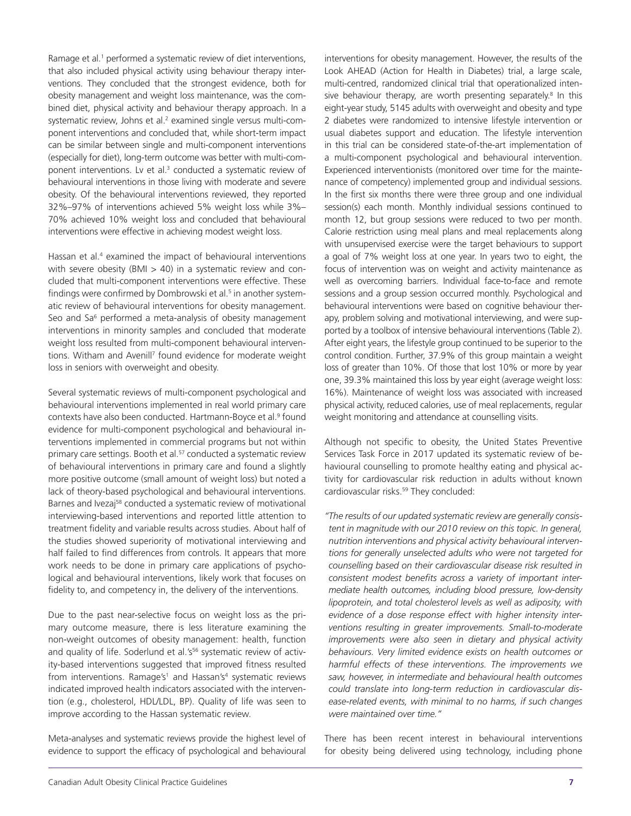Ramage et al.<sup>1</sup> performed a systematic review of diet interventions, that also included physical activity using behaviour therapy interventions. They concluded that the strongest evidence, both for obesity management and weight loss maintenance, was the combined diet, physical activity and behaviour therapy approach. In a systematic review, Johns et al.<sup>2</sup> examined single versus multi-component interventions and concluded that, while short-term impact can be similar between single and multi-component interventions (especially for diet), long-term outcome was better with multi-component interventions. Lv et al.<sup>3</sup> conducted a systematic review of behavioural interventions in those living with moderate and severe obesity. Of the behavioural interventions reviewed, they reported 32%–97% of interventions achieved 5% weight loss while 3%– 70% achieved 10% weight loss and concluded that behavioural interventions were effective in achieving modest weight loss.

Hassan et al.<sup>4</sup> examined the impact of behavioural interventions with severe obesity (BMI  $>$  40) in a systematic review and concluded that multi-component interventions were effective. These findings were confirmed by Dombrowski et al.<sup>5</sup> in another systematic review of behavioural interventions for obesity management. Seo and Sa<sup>6</sup> performed a meta-analysis of obesity management interventions in minority samples and concluded that moderate weight loss resulted from multi-component behavioural interventions. Witham and Avenill<sup>7</sup> found evidence for moderate weight loss in seniors with overweight and obesity.

Several systematic reviews of multi-component psychological and behavioural interventions implemented in real world primary care contexts have also been conducted. Hartmann-Boyce et al.<sup>9</sup> found evidence for multi-component psychological and behavioural interventions implemented in commercial programs but not within primary care settings. Booth et al.<sup>57</sup> conducted a systematic review of behavioural interventions in primary care and found a slightly more positive outcome (small amount of weight loss) but noted a lack of theory-based psychological and behavioural interventions. Barnes and Ivezaj<sup>58</sup> conducted a systematic review of motivational interviewing-based interventions and reported little attention to treatment fidelity and variable results across studies. About half of the studies showed superiority of motivational interviewing and half failed to find differences from controls. It appears that more work needs to be done in primary care applications of psychological and behavioural interventions, likely work that focuses on fidelity to, and competency in, the delivery of the interventions.

Due to the past near-selective focus on weight loss as the primary outcome measure, there is less literature examining the non-weight outcomes of obesity management: health, function and quality of life. Soderlund et al.'s<sup>56</sup> systematic review of activity-based interventions suggested that improved fitness resulted from interventions. Ramage's<sup>1</sup> and Hassan's<sup>4</sup> systematic reviews indicated improved health indicators associated with the intervention (e.g., cholesterol, HDL/LDL, BP). Quality of life was seen to improve according to the Hassan systematic review.

Meta-analyses and systematic reviews provide the highest level of evidence to support the efficacy of psychological and behavioural

interventions for obesity management. However, the results of the Look AHEAD (Action for Health in Diabetes) trial, a large scale, multi-centred, randomized clinical trial that operationalized intensive behaviour therapy, are worth presenting separately.<sup>8</sup> In this eight-year study, 5145 adults with overweight and obesity and type 2 diabetes were randomized to intensive lifestyle intervention or usual diabetes support and education. The lifestyle intervention in this trial can be considered state-of-the-art implementation of a multi-component psychological and behavioural intervention. Experienced interventionists (monitored over time for the maintenance of competency) implemented group and individual sessions. In the first six months there were three group and one individual session(s) each month. Monthly individual sessions continued to month 12, but group sessions were reduced to two per month. Calorie restriction using meal plans and meal replacements along with unsupervised exercise were the target behaviours to support a goal of 7% weight loss at one year. In years two to eight, the focus of intervention was on weight and activity maintenance as well as overcoming barriers. Individual face-to-face and remote sessions and a group session occurred monthly. Psychological and behavioural interventions were based on cognitive behaviour therapy, problem solving and motivational interviewing, and were supported by a toolbox of intensive behavioural interventions (Table 2). After eight years, the lifestyle group continued to be superior to the control condition. Further, 37.9% of this group maintain a weight loss of greater than 10%. Of those that lost 10% or more by year one, 39.3% maintained this loss by year eight (average weight loss: 16%). Maintenance of weight loss was associated with increased physical activity, reduced calories, use of meal replacements, regular weight monitoring and attendance at counselling visits.

Although not specific to obesity, the United States Preventive Services Task Force in 2017 updated its systematic review of behavioural counselling to promote healthy eating and physical activity for cardiovascular risk reduction in adults without known cardiovascular risks.<sup>59</sup> They concluded:

*"The results of our updated systematic review are generally consistent in magnitude with our 2010 review on this topic. In general, nutrition interventions and physical activity behavioural interventions for generally unselected adults who were not targeted for counselling based on their cardiovascular disease risk resulted in consistent modest benefits across a variety of important intermediate health outcomes, including blood pressure, low-density lipoprotein, and total cholesterol levels as well as adiposity, with evidence of a dose response effect with higher intensity interventions resulting in greater improvements. Small-to-moderate improvements were also seen in dietary and physical activity behaviours. Very limited evidence exists on health outcomes or harmful effects of these interventions. The improvements we saw, however, in intermediate and behavioural health outcomes could translate into long-term reduction in cardiovascular disease-related events, with minimal to no harms, if such changes were maintained over time."*

There has been recent interest in behavioural interventions for obesity being delivered using technology, including phone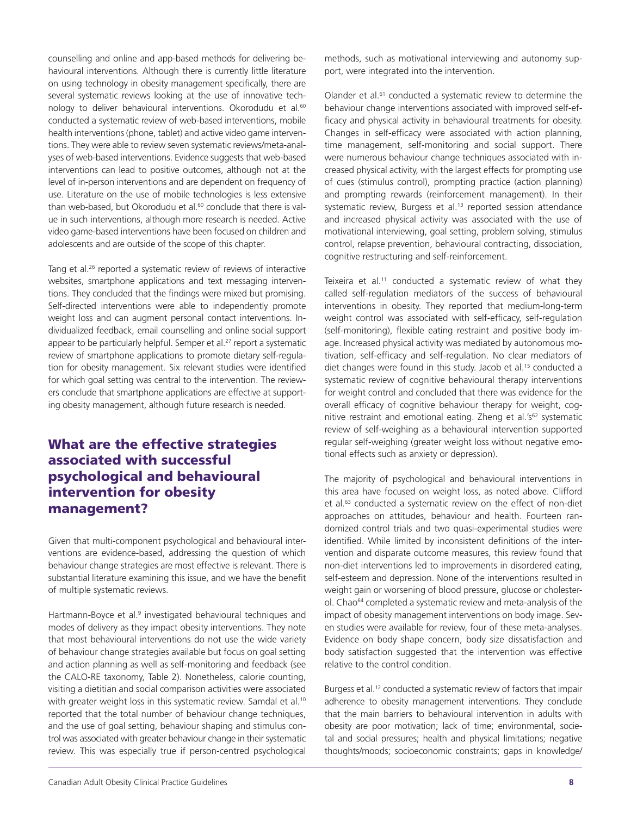counselling and online and app-based methods for delivering behavioural interventions. Although there is currently little literature on using technology in obesity management specifically, there are several systematic reviews looking at the use of innovative technology to deliver behavioural interventions. Okorodudu et al.<sup>60</sup> conducted a systematic review of web-based interventions, mobile health interventions (phone, tablet) and active video game interventions. They were able to review seven systematic reviews/meta-analyses of web-based interventions. Evidence suggests that web-based interventions can lead to positive outcomes, although not at the level of in-person interventions and are dependent on frequency of use. Literature on the use of mobile technologies is less extensive than web-based, but Okorodudu et al.<sup>60</sup> conclude that there is value in such interventions, although more research is needed. Active video game-based interventions have been focused on children and adolescents and are outside of the scope of this chapter.

Tang et al.<sup>26</sup> reported a systematic review of reviews of interactive websites, smartphone applications and text messaging interventions. They concluded that the findings were mixed but promising. Self-directed interventions were able to independently promote weight loss and can augment personal contact interventions. Individualized feedback, email counselling and online social support appear to be particularly helpful. Semper et al.<sup>27</sup> report a systematic review of smartphone applications to promote dietary self-regulation for obesity management. Six relevant studies were identified for which goal setting was central to the intervention. The reviewers conclude that smartphone applications are effective at supporting obesity management, although future research is needed.

#### What are the effective strategies associated with successful psychological and behavioural intervention for obesity management?

Given that multi-component psychological and behavioural interventions are evidence-based, addressing the question of which behaviour change strategies are most effective is relevant. There is substantial literature examining this issue, and we have the benefit of multiple systematic reviews.

Hartmann-Boyce et al.<sup>9</sup> investigated behavioural techniques and modes of delivery as they impact obesity interventions. They note that most behavioural interventions do not use the wide variety of behaviour change strategies available but focus on goal setting and action planning as well as self-monitoring and feedback (see the CALO-RE taxonomy, Table 2). Nonetheless, calorie counting, visiting a dietitian and social comparison activities were associated with greater weight loss in this systematic review. Samdal et al.<sup>10</sup> reported that the total number of behaviour change techniques, and the use of goal setting, behaviour shaping and stimulus control was associated with greater behaviour change in their systematic review. This was especially true if person-centred psychological

methods, such as motivational interviewing and autonomy support, were integrated into the intervention.

Olander et al.<sup>61</sup> conducted a systematic review to determine the behaviour change interventions associated with improved self-efficacy and physical activity in behavioural treatments for obesity. Changes in self-efficacy were associated with action planning, time management, self-monitoring and social support. There were numerous behaviour change techniques associated with increased physical activity, with the largest effects for prompting use of cues (stimulus control), prompting practice (action planning) and prompting rewards (reinforcement management). In their systematic review, Burgess et al.<sup>13</sup> reported session attendance and increased physical activity was associated with the use of motivational interviewing, goal setting, problem solving, stimulus control, relapse prevention, behavioural contracting, dissociation, cognitive restructuring and self-reinforcement.

Teixeira et al.<sup>11</sup> conducted a systematic review of what they called self-regulation mediators of the success of behavioural interventions in obesity. They reported that medium-long-term weight control was associated with self-efficacy, self-regulation (self-monitoring), flexible eating restraint and positive body image. Increased physical activity was mediated by autonomous motivation, self-efficacy and self-regulation. No clear mediators of diet changes were found in this study. Jacob et al.<sup>15</sup> conducted a systematic review of cognitive behavioural therapy interventions for weight control and concluded that there was evidence for the overall efficacy of cognitive behaviour therapy for weight, cognitive restraint and emotional eating. Zheng et al.'s<sup>62</sup> systematic review of self-weighing as a behavioural intervention supported regular self-weighing (greater weight loss without negative emotional effects such as anxiety or depression).

The majority of psychological and behavioural interventions in this area have focused on weight loss, as noted above. Clifford et al.<sup>63</sup> conducted a systematic review on the effect of non-diet approaches on attitudes, behaviour and health. Fourteen randomized control trials and two quasi-experimental studies were identified. While limited by inconsistent definitions of the intervention and disparate outcome measures, this review found that non-diet interventions led to improvements in disordered eating, self-esteem and depression. None of the interventions resulted in weight gain or worsening of blood pressure, glucose or cholesterol. Chao<sup>64</sup> completed a systematic review and meta-analysis of the impact of obesity management interventions on body image. Seven studies were available for review, four of these meta-analyses. Evidence on body shape concern, body size dissatisfaction and body satisfaction suggested that the intervention was effective relative to the control condition.

Burgess et al.<sup>12</sup> conducted a systematic review of factors that impair adherence to obesity management interventions. They conclude that the main barriers to behavioural intervention in adults with obesity are poor motivation; lack of time; environmental, societal and social pressures; health and physical limitations; negative thoughts/moods; socioeconomic constraints; gaps in knowledge/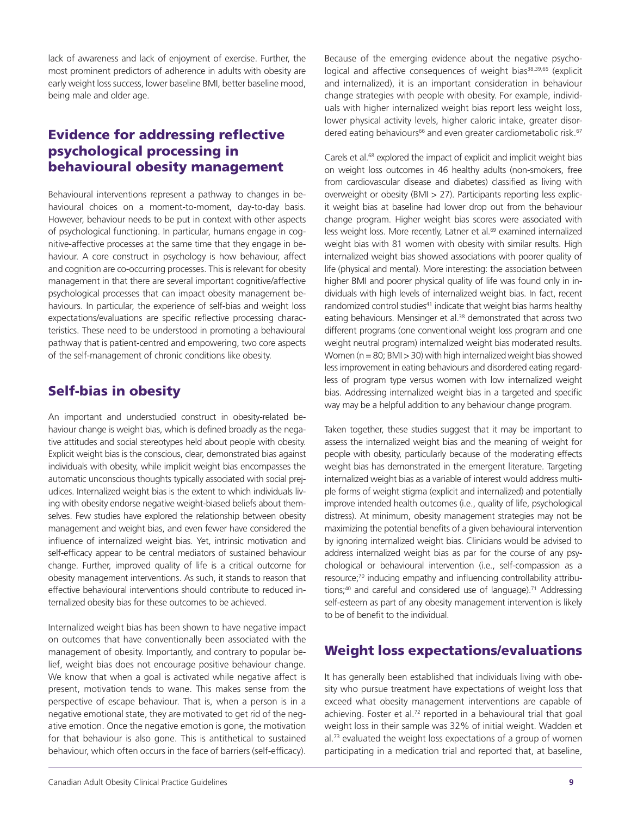lack of awareness and lack of enjoyment of exercise. Further, the most prominent predictors of adherence in adults with obesity are early weight loss success, lower baseline BMI, better baseline mood, being male and older age.

#### Evidence for addressing reflective psychological processing in behavioural obesity management

Behavioural interventions represent a pathway to changes in behavioural choices on a moment-to-moment, day-to-day basis. However, behaviour needs to be put in context with other aspects of psychological functioning. In particular, humans engage in cognitive-affective processes at the same time that they engage in behaviour. A core construct in psychology is how behaviour, affect and cognition are co-occurring processes. This is relevant for obesity management in that there are several important cognitive/affective psychological processes that can impact obesity management behaviours. In particular, the experience of self-bias and weight loss expectations/evaluations are specific reflective processing characteristics. These need to be understood in promoting a behavioural pathway that is patient-centred and empowering, two core aspects of the self-management of chronic conditions like obesity.

#### Self-bias in obesity

An important and understudied construct in obesity-related behaviour change is weight bias, which is defined broadly as the negative attitudes and social stereotypes held about people with obesity. Explicit weight bias is the conscious, clear, demonstrated bias against individuals with obesity, while implicit weight bias encompasses the automatic unconscious thoughts typically associated with social prejudices. Internalized weight bias is the extent to which individuals living with obesity endorse negative weight-biased beliefs about themselves. Few studies have explored the relationship between obesity management and weight bias, and even fewer have considered the influence of internalized weight bias. Yet, intrinsic motivation and self-efficacy appear to be central mediators of sustained behaviour change. Further, improved quality of life is a critical outcome for obesity management interventions. As such, it stands to reason that effective behavioural interventions should contribute to reduced internalized obesity bias for these outcomes to be achieved.

Internalized weight bias has been shown to have negative impact on outcomes that have conventionally been associated with the management of obesity. Importantly, and contrary to popular belief, weight bias does not encourage positive behaviour change. We know that when a goal is activated while negative affect is present, motivation tends to wane. This makes sense from the perspective of escape behaviour. That is, when a person is in a negative emotional state, they are motivated to get rid of the negative emotion. Once the negative emotion is gone, the motivation for that behaviour is also gone. This is antithetical to sustained behaviour, which often occurs in the face of barriers (self-efficacy).

Because of the emerging evidence about the negative psychological and affective consequences of weight bias<sup>38,39,65</sup> (explicit and internalized), it is an important consideration in behaviour change strategies with people with obesity. For example, individuals with higher internalized weight bias report less weight loss, lower physical activity levels, higher caloric intake, greater disordered eating behaviours<sup>66</sup> and even greater cardiometabolic risk.<sup>67</sup>

Carels et al.<sup>68</sup> explored the impact of explicit and implicit weight bias on weight loss outcomes in 46 healthy adults (non-smokers, free from cardiovascular disease and diabetes) classified as living with overweight or obesity (BMI > 27). Participants reporting less explicit weight bias at baseline had lower drop out from the behaviour change program. Higher weight bias scores were associated with less weight loss. More recently, Latner et al.<sup>69</sup> examined internalized weight bias with 81 women with obesity with similar results. High internalized weight bias showed associations with poorer quality of life (physical and mental). More interesting: the association between higher BMI and poorer physical quality of life was found only in individuals with high levels of internalized weight bias. In fact, recent randomized control studies<sup>41</sup> indicate that weight bias harms healthy eating behaviours. Mensinger et al.<sup>38</sup> demonstrated that across two different programs (one conventional weight loss program and one weight neutral program) internalized weight bias moderated results. Women ( $n = 80$ ; BMI  $> 30$ ) with high internalized weight bias showed less improvement in eating behaviours and disordered eating regardless of program type versus women with low internalized weight bias. Addressing internalized weight bias in a targeted and specific way may be a helpful addition to any behaviour change program.

Taken together, these studies suggest that it may be important to assess the internalized weight bias and the meaning of weight for people with obesity, particularly because of the moderating effects weight bias has demonstrated in the emergent literature. Targeting internalized weight bias as a variable of interest would address multiple forms of weight stigma (explicit and internalized) and potentially improve intended health outcomes (i.e., quality of life, psychological distress). At minimum, obesity management strategies may not be maximizing the potential benefits of a given behavioural intervention by ignoring internalized weight bias. Clinicians would be advised to address internalized weight bias as par for the course of any psychological or behavioural intervention (i.e., self-compassion as a resource;<sup>70</sup> inducing empathy and influencing controllability attributions;<sup>40</sup> and careful and considered use of language).<sup>71</sup> Addressing self-esteem as part of any obesity management intervention is likely to be of benefit to the individual.

#### Weight loss expectations/evaluations

It has generally been established that individuals living with obesity who pursue treatment have expectations of weight loss that exceed what obesity management interventions are capable of achieving. Foster et al.<sup>72</sup> reported in a behavioural trial that goal weight loss in their sample was 32% of initial weight. Wadden et al.73 evaluated the weight loss expectations of a group of women participating in a medication trial and reported that, at baseline,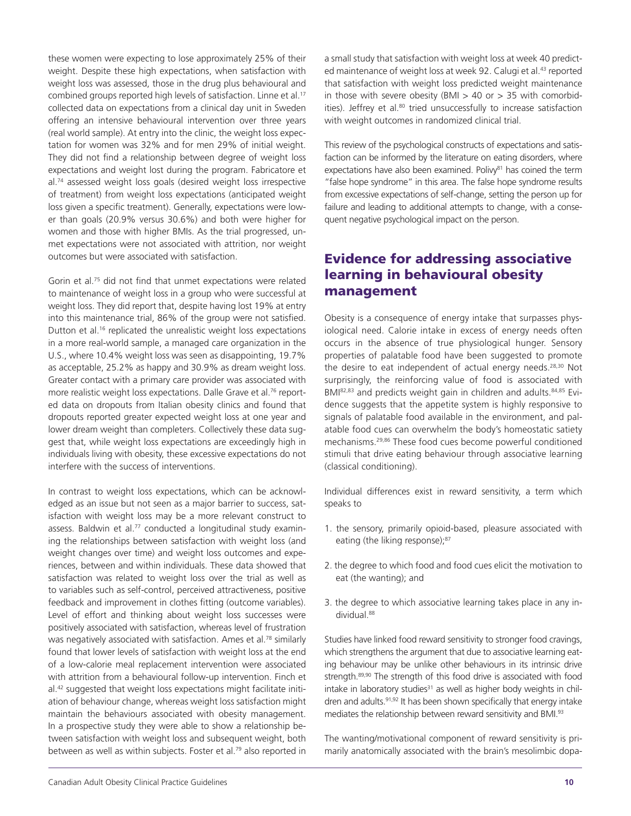these women were expecting to lose approximately 25% of their weight. Despite these high expectations, when satisfaction with weight loss was assessed, those in the drug plus behavioural and combined groups reported high levels of satisfaction. Linne et al.<sup>17</sup> collected data on expectations from a clinical day unit in Sweden offering an intensive behavioural intervention over three years (real world sample). At entry into the clinic, the weight loss expectation for women was 32% and for men 29% of initial weight. They did not find a relationship between degree of weight loss expectations and weight lost during the program. Fabricatore et al.<sup>74</sup> assessed weight loss goals (desired weight loss irrespective of treatment) from weight loss expectations (anticipated weight loss given a specific treatment). Generally, expectations were lower than goals (20.9% versus 30.6%) and both were higher for women and those with higher BMIs. As the trial progressed, unmet expectations were not associated with attrition, nor weight outcomes but were associated with satisfaction.

Gorin et al.75 did not find that unmet expectations were related to maintenance of weight loss in a group who were successful at weight loss. They did report that, despite having lost 19% at entry into this maintenance trial, 86% of the group were not satisfied. Dutton et al.<sup>16</sup> replicated the unrealistic weight loss expectations in a more real-world sample, a managed care organization in the U.S., where 10.4% weight loss was seen as disappointing, 19.7% as acceptable, 25.2% as happy and 30.9% as dream weight loss. Greater contact with a primary care provider was associated with more realistic weight loss expectations. Dalle Grave et al.<sup>76</sup> reported data on dropouts from Italian obesity clinics and found that dropouts reported greater expected weight loss at one year and lower dream weight than completers. Collectively these data suggest that, while weight loss expectations are exceedingly high in individuals living with obesity, these excessive expectations do not interfere with the success of interventions.

In contrast to weight loss expectations, which can be acknowledged as an issue but not seen as a major barrier to success, satisfaction with weight loss may be a more relevant construct to assess. Baldwin et al. $77$  conducted a longitudinal study examining the relationships between satisfaction with weight loss (and weight changes over time) and weight loss outcomes and experiences, between and within individuals. These data showed that satisfaction was related to weight loss over the trial as well as to variables such as self-control, perceived attractiveness, positive feedback and improvement in clothes fitting (outcome variables). Level of effort and thinking about weight loss successes were positively associated with satisfaction, whereas level of frustration was negatively associated with satisfaction. Ames et al.<sup>78</sup> similarly found that lower levels of satisfaction with weight loss at the end of a low-calorie meal replacement intervention were associated with attrition from a behavioural follow-up intervention. Finch et al.42 suggested that weight loss expectations might facilitate initiation of behaviour change, whereas weight loss satisfaction might maintain the behaviours associated with obesity management. In a prospective study they were able to show a relationship between satisfaction with weight loss and subsequent weight, both between as well as within subjects. Foster et al.<sup>79</sup> also reported in

a small study that satisfaction with weight loss at week 40 predicted maintenance of weight loss at week 92. Calugi et al.<sup>43</sup> reported that satisfaction with weight loss predicted weight maintenance in those with severe obesity (BMI  $>$  40 or  $>$  35 with comorbidities). Jeffrey et al.<sup>80</sup> tried unsuccessfully to increase satisfaction with weight outcomes in randomized clinical trial.

This review of the psychological constructs of expectations and satisfaction can be informed by the literature on eating disorders, where expectations have also been examined. Polivy<sup>81</sup> has coined the term "false hope syndrome" in this area. The false hope syndrome results from excessive expectations of self-change, setting the person up for failure and leading to additional attempts to change, with a consequent negative psychological impact on the person.

#### Evidence for addressing associative learning in behavioural obesity management

Obesity is a consequence of energy intake that surpasses physiological need. Calorie intake in excess of energy needs often occurs in the absence of true physiological hunger. Sensory properties of palatable food have been suggested to promote the desire to eat independent of actual energy needs.<sup>28,30</sup> Not surprisingly, the reinforcing value of food is associated with BMI<sup>82,83</sup> and predicts weight gain in children and adults.<sup>84,85</sup> Evidence suggests that the appetite system is highly responsive to signals of palatable food available in the environment, and palatable food cues can overwhelm the body's homeostatic satiety mechanisms.29,86 These food cues become powerful conditioned stimuli that drive eating behaviour through associative learning (classical conditioning).

Individual differences exist in reward sensitivity, a term which speaks to

- 1. the sensory, primarily opioid-based, pleasure associated with eating (the liking response);<sup>87</sup>
- 2. the degree to which food and food cues elicit the motivation to eat (the wanting); and
- 3. the degree to which associative learning takes place in any individual.88

Studies have linked food reward sensitivity to stronger food cravings, which strengthens the argument that due to associative learning eating behaviour may be unlike other behaviours in its intrinsic drive strength.89,90 The strength of this food drive is associated with food intake in laboratory studies<sup>31</sup> as well as higher body weights in children and adults.<sup>91,92</sup> It has been shown specifically that energy intake mediates the relationship between reward sensitivity and BMI.93

The wanting/motivational component of reward sensitivity is primarily anatomically associated with the brain's mesolimbic dopa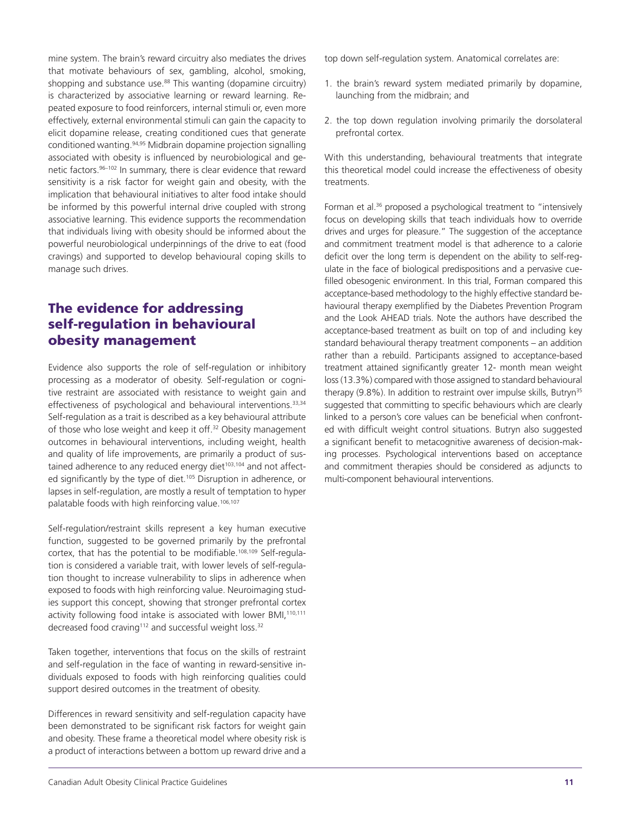that motivate behaviours of sex, gambling, alcohol, smoking, shopping and substance use.<sup>88</sup> This wanting (dopamine circuitry) is characterized by associative learning or reward learning. Repeated exposure to food reinforcers, internal stimuli or, even more effectively, external environmental stimuli can gain the capacity to elicit dopamine release, creating conditioned cues that generate conditioned wanting.94,95 Midbrain dopamine projection signalling associated with obesity is influenced by neurobiological and genetic factors. 96-102 In summary, there is clear evidence that reward sensitivity is a risk factor for weight gain and obesity, with the implication that behavioural initiatives to alter food intake should be informed by this powerful internal drive coupled with strong associative learning. This evidence supports the recommendation that individuals living with obesity should be informed about the powerful neurobiological underpinnings of the drive to eat (food cravings) and supported to develop behavioural coping skills to manage such drives. The evidence for addressing

mine system. The brain's reward circuitry also mediates the drives

## self-regulation in behavioural obesity management

Evidence also supports the role of self-regulation or inhibitory processing as a moderator of obesity. Self-regulation or cognitive restraint are associated with resistance to weight gain and effectiveness of psychological and behavioural interventions.<sup>33,34</sup> Self-regulation as a trait is described as a key behavioural attribute of those who lose weight and keep it off.<sup>32</sup> Obesity management outcomes in behavioural interventions, including weight, health and quality of life improvements, are primarily a product of sustained adherence to any reduced energy diet $103,104$  and not affected significantly by the type of diet.<sup>105</sup> Disruption in adherence, or lapses in self-regulation, are mostly a result of temptation to hyper palatable foods with high reinforcing value.<sup>106,107</sup>

Self-regulation/restraint skills represent a key human executive function, suggested to be governed primarily by the prefrontal cortex, that has the potential to be modifiable.108,109 Self-regulation is considered a variable trait, with lower levels of self-regulation thought to increase vulnerability to slips in adherence when exposed to foods with high reinforcing value. Neuroimaging studies support this concept, showing that stronger prefrontal cortex activity following food intake is associated with lower BMI,<sup>110,111</sup> decreased food craving<sup>112</sup> and successful weight loss.<sup>32</sup>

Taken together, interventions that focus on the skills of restraint and self-regulation in the face of wanting in reward-sensitive individuals exposed to foods with high reinforcing qualities could support desired outcomes in the treatment of obesity.

Differences in reward sensitivity and self-regulation capacity have been demonstrated to be significant risk factors for weight gain and obesity. These frame a theoretical model where obesity risk is a product of interactions between a bottom up reward drive and a

top down self-regulation system. Anatomical correlates are:

- 1. the brain's reward system mediated primarily by dopamine, launching from the midbrain; and
- 2. the top down regulation involving primarily the dorsolateral prefrontal cortex.

With this understanding, behavioural treatments that integrate this theoretical model could increase the effectiveness of obesity treatments.

Forman et al.<sup>36</sup> proposed a psychological treatment to "intensively focus on developing skills that teach individuals how to override drives and urges for pleasure." The suggestion of the acceptance and commitment treatment model is that adherence to a calorie deficit over the long term is dependent on the ability to self-regulate in the face of biological predispositions and a pervasive cuefilled obesogenic environment. In this trial, Forman compared this acceptance-based methodology to the highly effective standard behavioural therapy exemplified by the Diabetes Prevention Program and the Look AHEAD trials. Note the authors have described the acceptance-based treatment as built on top of and including key standard behavioural therapy treatment components – an addition rather than a rebuild. Participants assigned to acceptance-based treatment attained significantly greater 12- month mean weight loss(13.3%) compared with those assigned to standard behavioural therapy (9.8%). In addition to restraint over impulse skills, Butryn<sup>35</sup> suggested that committing to specific behaviours which are clearly linked to a person's core values can be beneficial when confronted with difficult weight control situations. Butryn also suggested a significant benefit to metacognitive awareness of decision-making processes. Psychological interventions based on acceptance and commitment therapies should be considered as adjuncts to multi-component behavioural interventions.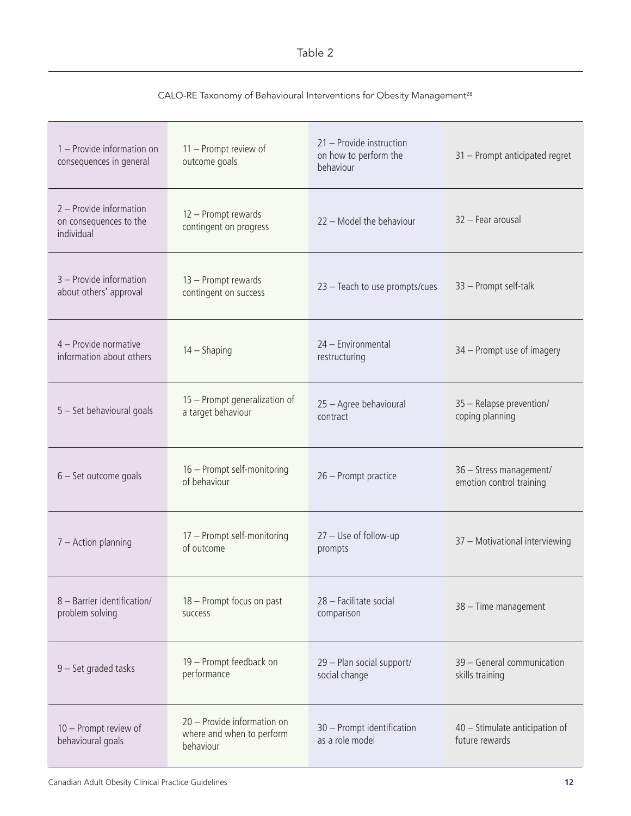#### Table 2

| CALO-RE Taxonomy of Behavioural Interventions for Obesity Management <sup>28</sup> |  |
|------------------------------------------------------------------------------------|--|
|------------------------------------------------------------------------------------|--|

| 1 - Provide information on<br>consequences in general           | 11 - Prompt review of<br>outcome goals                                | 21 - Provide instruction<br>on how to perform the<br>behaviour | 31 - Prompt anticipated regret                      |
|-----------------------------------------------------------------|-----------------------------------------------------------------------|----------------------------------------------------------------|-----------------------------------------------------|
| 2 - Provide information<br>on consequences to the<br>individual | 12 - Prompt rewards<br>contingent on progress                         | 22 - Model the behaviour                                       | 32 - Fear arousal                                   |
| 3 - Provide information<br>about others' approval               | 13 - Prompt rewards<br>contingent on success                          | 23 - Teach to use prompts/cues                                 | 33 - Prompt self-talk                               |
| 4 - Provide normative<br>information about others               | $14 -$ Shaping                                                        | 24 - Environmental<br>restructuring                            | 34 - Prompt use of imagery                          |
| 5 - Set behavioural goals                                       | 15 - Prompt generalization of<br>a target behaviour                   | 25 - Agree behavioural<br>contract                             | 35 - Relapse prevention/<br>coping planning         |
| $6 - Set outcome goals$                                         | 16 - Prompt self-monitoring<br>of behaviour                           | 26 - Prompt practice                                           | 36 - Stress management/<br>emotion control training |
| $7 -$ Action planning                                           | 17 - Prompt self-monitoring<br>of outcome                             | $27 -$ Use of follow-up<br>prompts                             | 37 - Motivational interviewing                      |
| 8 - Barrier identification/<br>problem solving                  | 18 - Prompt focus on past<br>success                                  | 28 - Facilitate social<br>comparison                           | 38 - Time management                                |
| 9 - Set graded tasks                                            | 19 - Prompt feedback on<br>performance                                | 29 - Plan social support/<br>social change                     | 39 - General communication<br>skills training       |
| 10 - Prompt review of<br>behavioural goals                      | 20 - Provide information on<br>where and when to perform<br>behaviour | 30 - Prompt identification<br>as a role model                  | 40 - Stimulate anticipation of<br>future rewards    |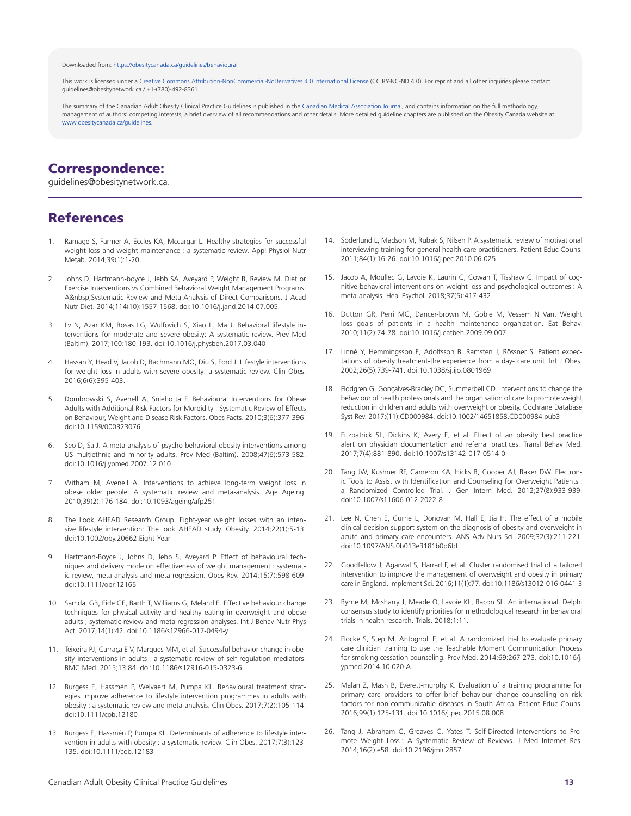#### Downloaded from[: https://obesitycanada.ca/guidelines/behavioural](https://obesitycanada.ca/guidelines/behavioural/)

This work is licensed under a Creative Commons [Attribution-NonCommercial-NoDerivatives](https://creativecommons.org/licenses/by-nc-nd/4.0/) 4.0 International License (CC BY-NC-ND 4.0). For reprint and all other inquiries please contact guidelines@obesitynetwork.ca / +1-(780)-492-8361.

The summary of the Canadian Adult Obesity Clinical Practice Guidelines is published in th[e Canadian Medical Association Journal,](https://www.cmaj.ca/content/192/31/E875) and contains information on the full methodology, management of authors' competing interests, a brief overview of all recommendations and other details. More detailed guideline chapters are published on the Obesity Canada website at [www.obesitycanada.ca/guidelines.](https://obesitycanada.ca/guidelines/)

#### Correspondence:

guidelines@obesitynetwork.ca.

#### References

- 1. Ramage S, Farmer A, Eccles KA, Mccargar L. Healthy strategies for successful weight loss and weight maintenance : a systematic review. Appl Physiol Nutr Metab. 2014;39(1):1-20.
- 2. Johns D, Hartmann-boyce J, Jebb SA, Aveyard P, Weight B, Review M. Diet or Exercise Interventions vs Combined Behavioral Weight Management Programs: A&nbsp:Systematic Review and Meta-Analysis of Direct Comparisons. J Acad Nutr Diet. 2014;114(10):1557-1568. doi:10.1016/j.jand.2014.07.005
- 3. Lv N, Azar KM, Rosas LG, Wulfovich S, Xiao L, Ma J. Behavioral lifestyle interventions for moderate and severe obesity: A systematic review. Prev Med (Baltim). 2017;100:180-193. doi:10.1016/j.physbeh.2017.03.040
- 4. Hassan Y, Head V, Jacob D, Bachmann MO, Diu S, Ford J. Lifestyle interventions for weight loss in adults with severe obesity: a systematic review. Clin Obes. 2016;6(6):395-403.
- 5. Dombrowski S, Avenell A, Sniehotta F. Behavioural Interventions for Obese Adults with Additional Risk Factors for Morbidity : Systematic Review of Effects on Behaviour, Weight and Disease Risk Factors. Obes Facts. 2010;3(6):377-396. doi:10.1159/000323076
- 6. Seo D, Sa J. A meta-analysis of psycho-behavioral obesity interventions among US multiethnic and minority adults. Prev Med (Baltim). 2008;47(6):573-582. doi:10.1016/j.ypmed.2007.12.010
- 7. Witham M, Avenell A. Interventions to achieve long-term weight loss in obese older people. A systematic review and meta-analysis. Age Ageing. 2010;39(2):176-184. doi:10.1093/ageing/afp251
- 8. The Look AHEAD Research Group. Eight-year weight losses with an intensive lifestyle intervention: The look AHEAD study. Obesity. 2014;22(1):5-13. doi:10.1002/oby.20662.Eight-Year
- 9. Hartmann-Boyce J, Johns D, Jebb S, Aveyard P. Effect of behavioural techniques and delivery mode on effectiveness of weight management : systematic review, meta-analysis and meta-regression. Obes Rev. 2014;15(7):598-609. doi:10.1111/obr.12165
- 10. Samdal GB, Eide GE, Barth T, Williams G, Meland E. Effective behaviour change techniques for physical activity and healthy eating in overweight and obese adults ; systematic review and meta-regression analyses. Int J Behav Nutr Phys Act. 2017;14(1):42. doi:10.1186/s12966-017-0494-y
- 11. Teixeira PJ, Carraça E V, Marques MM, et al. Successful behavior change in obesity interventions in adults : a systematic review of self-regulation mediators. BMC Med. 2015;13:84. doi:10.1186/s12916-015-0323-6
- 12. Burgess E, Hassmén P, Welvaert M, Pumpa KL. Behavioural treatment strategies improve adherence to lifestyle intervention programmes in adults with obesity : a systematic review and meta-analysis. Clin Obes. 2017;7(2):105-114. doi:10.1111/cob.12180
- 13. Burgess E, Hassmén P, Pumpa KL. Determinants of adherence to lifestyle intervention in adults with obesity : a systematic review. Clin Obes. 2017;7(3):123- 135. doi:10.1111/cob.12183
- 14. Söderlund L, Madson M, Rubak S, Nilsen P. A systematic review of motivational interviewing training for general health care practitioners. Patient Educ Couns. 2011;84(1):16-26. doi:10.1016/j.pec.2010.06.025
- 15. Jacob A, Moullec G, Lavoie K, Laurin C, Cowan T, Tisshaw C. Impact of cognitive-behavioral interventions on weight loss and psychological outcomes : A meta-analysis. Heal Psychol. 2018;37(5):417-432.
- 16. Dutton GR, Perri MG, Dancer-brown M, Goble M, Vessem N Van. Weight loss goals of patients in a health maintenance organization. Eat Behav. 2010;11(2):74-78. doi:10.1016/j.eatbeh.2009.09.007
- 17. Linné Y, Hemmingsson E, Adolfsson B, Ramsten J, Rössner S. Patient expectations of obesity treatment-the experience from a day- care unit. Int J Obes. 2002;26(5):739-741. doi:10.1038/sj.ijo.0801969
- 18. Flodgren G, Gonçalves-Bradley DC, Summerbell CD. Interventions to change the behaviour of health professionals and the organisation of care to promote weight reduction in children and adults with overweight or obesity. Cochrane Database Syst Rev. 2017;(11):CD000984. doi:10.1002/14651858.CD000984.pub3
- 19. Fitzpatrick SL, Dickins K, Avery E, et al. Effect of an obesity best practice alert on physician documentation and referral practices. Transl Behav Med. 2017;7(4):881-890. doi:10.1007/s13142-017-0514-0
- 20. Tang JW, Kushner RF, Cameron KA, Hicks B, Cooper AJ, Baker DW. Electronic Tools to Assist with Identification and Counseling for Overweight Patients : a Randomized Controlled Trial. J Gen Intern Med. 2012;27(8):933-939. doi:10.1007/s11606-012-2022-8
- 21. Lee N, Chen E, Currie L, Donovan M, Hall E, Jia H. The effect of a mobile clinical decision support system on the diagnosis of obesity and overweight in acute and primary care encounters. ANS Adv Nurs Sci. 2009;32(3):211-221. doi:10.1097/ANS.0b013e3181b0d6bf
- 22. Goodfellow J, Agarwal S, Harrad F, et al. Cluster randomised trial of a tailored intervention to improve the management of overweight and obesity in primary care in England. Implement Sci. 2016;11(1):77. doi:10.1186/s13012-016-0441-3
- 23. Byrne M, Mcsharry J, Meade O, Lavoie KL, Bacon SL. An international, Delphi consensus study to identify priorities for methodological research in behavioral trials in health research. Trials. 2018;1:11.
- 24. Flocke S, Step M, Antognoli E, et al. A randomized trial to evaluate primary care clinician training to use the Teachable Moment Communication Process for smoking cessation counseling. Prev Med. 2014;69:267-273. doi:10.1016/j. ypmed.2014.10.020.A
- 25. Malan Z, Mash B, Everett-murphy K. Evaluation of a training programme for primary care providers to offer brief behaviour change counselling on risk factors for non-communicable diseases in South Africa. Patient Educ Couns. 2016;99(1):125-131. doi:10.1016/j.pec.2015.08.008
- 26. Tang J, Abraham C, Greaves C, Yates T. Self-Directed Interventions to Promote Weight Loss : A Systematic Review of Reviews. J Med Internet Res. 2014;16(2):e58. doi:10.2196/jmir.2857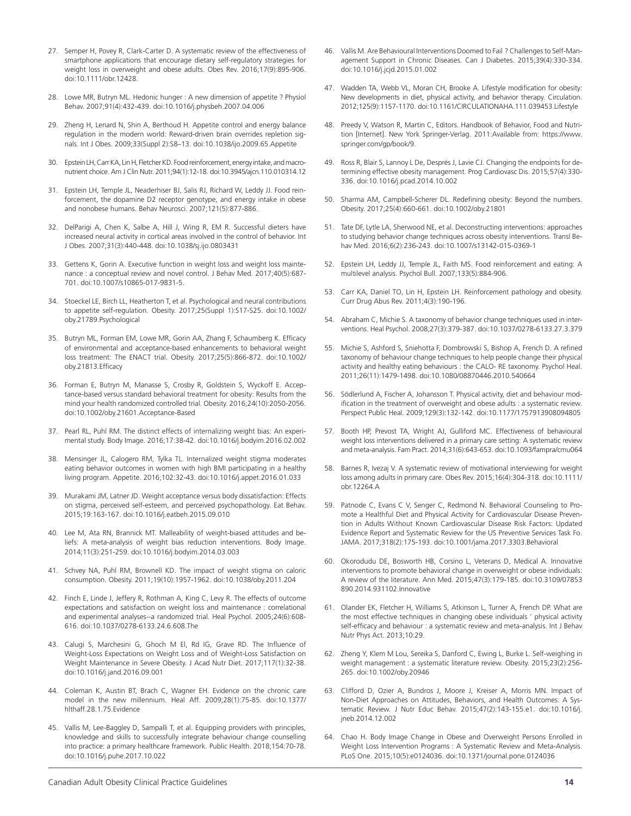- 27. Semper H, Povey R, Clark-Carter D. A systematic review of the effectiveness of smartphone applications that encourage dietary self-regulatory strategies for weight loss in overweight and obese adults. Obes Rev. 2016;17(9):895-906. doi:10.1111/obr.12428.
- 28. Lowe MR, Butryn ML. Hedonic hunger : A new dimension of appetite ? Physiol Behav. 2007;91(4):432-439. doi:10.1016/j.physbeh.2007.04.006
- 29. Zheng H, Lenard N, Shin A, Berthoud H. Appetite control and energy balance regulation in the modern world: Reward-driven brain overrides repletion signals. Int J Obes. 2009;33(Suppl 2):S8–13. doi:10.1038/ijo.2009.65.Appetite
- 30. Epstein LH, Carr KA, Lin H, Fletcher KD. Food reinforcement, energy intake, and macronutrient choice. Am J Clin Nutr. 2011;94(1):12-18. doi:10.3945/ajcn.110.010314.12
- 31. Epstein LH, Temple JL, Neaderhiser BJ, Salis RJ, Richard W, Leddy JJ. Food reinforcement, the dopamine D2 receptor genotype, and energy intake in obese and nonobese humans. Behav Neurosci. 2007;121(5):877-886.
- 32. DelParigi A, Chen K, Salbe A, Hill J, Wing R, EM R. Successful dieters have increased neural activity in cortical areas involved in the control of behavior. Int J Obes. 2007;31(3):440-448. doi:10.1038/sj.ijo.0803431
- 33. Gettens K, Gorin A. Executive function in weight loss and weight loss maintenance : a conceptual review and novel control. J Behav Med. 2017;40(5):687- 701. doi:10.1007/s10865-017-9831-5.
- 34. Stoeckel LE, Birch LL, Heatherton T, et al. Psychological and neural contributions to appetite self-regulation. Obesity. 2017;25(Suppl 1):S17-S25. doi:10.1002/ oby.21789.Psychological
- 35. Butryn ML, Forman EM, Lowe MR, Gorin AA, Zhang F, Schaumberg K. Efficacy of environmental and acceptance-based enhancements to behavioral weight loss treatment: The ENACT trial. Obesity. 2017;25(5):866-872. doi:10.1002/ oby.21813.Efficacy
- 36. Forman E, Butryn M, Manasse S, Crosby R, Goldstein S, Wyckoff E. Acceptance-based versus standard behavioral treatment for obesity: Results from the mind your health randomized controlled trial. Obesity. 2016;24(10):2050-2056. doi:10.1002/oby.21601.Acceptance-Based
- 37. Pearl RL, Puhl RM. The distinct effects of internalizing weight bias: An experimental study. Body Image. 2016;17:38-42. doi:10.1016/j.bodyim.2016.02.002
- 38. Mensinger JL, Calogero RM, Tylka TL. Internalized weight stigma moderates eating behavior outcomes in women with high BMI participating in a healthy living program. Appetite. 2016;102:32-43. doi:10.1016/j.appet.2016.01.033
- 39. Murakami JM, Latner JD. Weight acceptance versus body dissatisfaction: Effects on stigma, perceived self-esteem, and perceived psychopathology. Eat Behav. 2015;19:163-167. doi:10.1016/j.eatbeh.2015.09.010
- 40. Lee M, Ata RN, Brannick MT. Malleability of weight-biased attitudes and beliefs: A meta-analysis of weight bias reduction interventions. Body Image. 2014;11(3):251-259. doi:10.1016/j.bodyim.2014.03.003
- 41. Schvey NA, Puhl RM, Brownell KD. The impact of weight stigma on caloric consumption. Obesity. 2011;19(10):1957-1962. doi:10.1038/oby.2011.204
- 42. Finch E, Linde J, Jeffery R, Rothman A, King C, Levy R. The effects of outcome expectations and satisfaction on weight loss and maintenance : correlational and experimental analyses--a randomized trial. Heal Psychol. 2005;24(6):608- 616. doi:10.1037/0278-6133.24.6.608.The
- 43. Calugi S, Marchesini G, Ghoch M El, Rd IG, Grave RD. The Influence of Weight-Loss Expectations on Weight Loss and of Weight-Loss Satisfaction on Weight Maintenance in Severe Obesity. J Acad Nutr Diet. 2017;117(1):32-38. doi:10.1016/j.jand.2016.09.001
- 44. Coleman K, Austin BT, Brach C, Wagner EH. Evidence on the chronic care model in the new millennium. Heal Aff. 2009;28(1):75-85. doi:10.1377/ hlthaff.28.1.75.Evidence
- 45. Vallis M, Lee-Baggley D, Sampalli T, et al. Equipping providers with principles, knowledge and skills to successfully integrate behaviour change counselling into practice: a primary healthcare framework. Public Health. 2018;154:70-78. doi:10.1016/j.puhe.2017.10.022
- 46. Vallis M. Are Behavioural Interventions Doomed to Fail ? Challenges to Self-Management Support in Chronic Diseases. Can J Diabetes. 2015;39(4):330-334. doi:10.1016/j.jcjd.2015.01.002
- 47. Wadden TA, Webb VL, Moran CH, Brooke A. Lifestyle modification for obesity: New developments in diet, physical activity, and behavior therapy. Circulation. 2012;125(9):1157-1170. doi:10.1161/CIRCULATIONAHA.111.039453.Lifestyle
- 48. Preedy V, Watson R, Martin C, Editors. Handbook of Behavior, Food and Nutrition [Internet]. New York Springer-Verlag. 2011:Available from: https://www. springer.com/gp/book/9.
- 49. Ross R, Blair S, Lannoy L De, Després J, Lavie CJ. Changing the endpoints for determining effective obesity management. Prog Cardiovasc Dis. 2015;57(4):330- 336. doi:10.1016/j.pcad.2014.10.002
- 50. Sharma AM, Campbell-Scherer DL. Redefining obesity: Beyond the numbers. Obesity. 2017;25(4):660-661. doi:10.1002/oby.21801
- 51. Tate DF, Lytle LA, Sherwood NE, et al. Deconstructing interventions: approaches to studying behavior change techniques across obesity interventions. Transl Behav Med. 2016;6(2):236-243. doi:10.1007/s13142-015-0369-1
- 52. Epstein LH, Leddy JJ, Temple JL, Faith MS. Food reinforcement and eating: A multilevel analysis. Psychol Bull. 2007;133(5):884-906.
- 53. Carr KA, Daniel TO, Lin H, Epstein LH. Reinforcement pathology and obesity. Curr Drug Abus Rev. 2011;4(3):190-196.
- 54. Abraham C, Michie S. A taxonomy of behavior change techniques used in interventions. Heal Psychol. 2008;27(3):379-387. doi:10.1037/0278-6133.27.3.379
- 55. Michie S, Ashford S, Sniehotta F, Dombrowski S, Bishop A, French D. A refined taxonomy of behaviour change techniques to help people change their physical activity and healthy eating behaviours : the CALO- RE taxonomy. Psychol Heal. 2011;26(11):1479-1498. doi:10.1080/08870446.2010.540664
- 56. Södlerlund A, Fischer A, Johansson T. Physical activity, diet and behaviour modification in the treatment of overweight and obese adults : a systematic review. Perspect Public Heal. 2009;129(3):132-142. doi:10.1177/1757913908094805
- 57. Booth HP, Prevost TA, Wright AJ, Gulliford MC. Effectiveness of behavioural weight loss interventions delivered in a primary care setting: A systematic review and meta-analysis. Fam Pract. 2014;31(6):643-653. doi:10.1093/fampra/cmu064
- 58. Barnes R, Ivezaj V. A systematic review of motivational interviewing for weight loss among adults in primary care. Obes Rev. 2015;16(4):304-318. doi:10.1111/ obr.12264.A
- 59. Patnode C, Evans C V, Senger C, Redmond N. Behavioral Counseling to Promote a Healthful Diet and Physical Activity for Cardiovascular Disease Prevention in Adults Without Known Cardiovascular Disease Risk Factors: Updated Evidence Report and Systematic Review for the US Preventive Services Task Fo. JAMA. 2017;318(2):175-193. doi:10.1001/jama.2017.3303.Behavioral
- 60. Okorodudu DE, Bosworth HB, Corsino L, Veterans D, Medical A. Innovative interventions to promote behavioral change in overweight or obese individuals: A review of the literature. Ann Med. 2015;47(3):179-185. doi:10.3109/07853 890.2014.931102.Innovative
- 61. Olander EK, Fletcher H, Williams S, Atkinson L, Turner A, French DP. What are the most effective techniques in changing obese individuals ' physical activity self-efficacy and behaviour : a systematic review and meta-analysis. Int J Behav Nutr Phys Act. 2013;10:29.
- 62. Zheng Y, Klem M Lou, Sereika S, Danford C, Ewing L, Burke L. Self-weighing in weight management : a systematic literature review. Obesity. 2015;23(2):256- 265. doi:10.1002/oby.20946
- 63. Clifford D, Ozier A, Bundros J, Moore J, Kreiser A, Morris MN. Impact of Non-Diet Approaches on Attitudes, Behaviors, and Health Outcomes: A Systematic Review. J Nutr Educ Behav. 2015;47(2):143-155.e1. doi:10.1016/j. jneb.2014.12.002
- 64. Chao H. Body Image Change in Obese and Overweight Persons Enrolled in Weight Loss Intervention Programs : A Systematic Review and Meta-Analysis. PLoS One. 2015;10(5):e0124036. doi:10.1371/journal.pone.0124036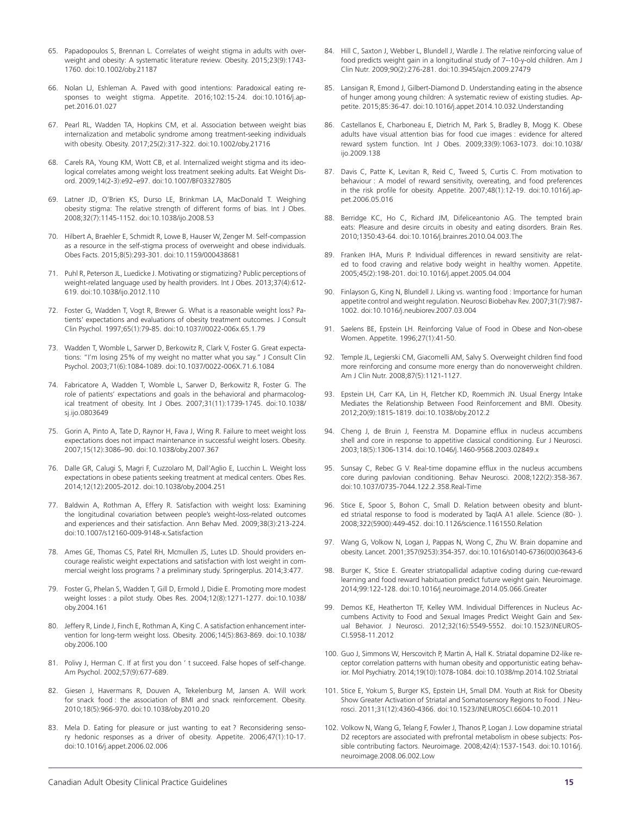- 65. Papadopoulos S, Brennan L. Correlates of weight stigma in adults with overweight and obesity: A systematic literature review. Obesity. 2015;23(9):1743- 1760. doi:10.1002/oby.21187
- 66. Nolan LJ, Eshleman A. Paved with good intentions: Paradoxical eating responses to weight stigma. Appetite. 2016;102:15-24. doi:10.1016/j.appet.2016.01.027
- 67. Pearl RL, Wadden TA, Hopkins CM, et al. Association between weight bias internalization and metabolic syndrome among treatment-seeking individuals with obesity. Obesity. 2017;25(2):317-322. doi:10.1002/oby.21716
- 68. Carels RA, Young KM, Wott CB, et al. Internalized weight stigma and its ideological correlates among weight loss treatment seeking adults. Eat Weight Disord. 2009;14(2-3):e92–e97. doi:10.1007/BF03327805
- 69. Latner JD, O'Brien KS, Durso LE, Brinkman LA, MacDonald T. Weighing obesity stigma: The relative strength of different forms of bias. Int J Obes. 2008;32(7):1145-1152. doi:10.1038/ijo.2008.53
- 70. Hilbert A, Braehler E, Schmidt R, Lowe B, Hauser W, Zenger M. Self-compassion as a resource in the self-stigma process of overweight and obese individuals. Obes Facts. 2015;8(5):293-301. doi:10.1159/000438681
- 71. Puhl R, Peterson JL, Luedicke J. Motivating or stigmatizing? Public perceptions of weight-related language used by health providers. Int J Obes. 2013;37(4):612- 619. doi:10.1038/ijo.2012.110
- 72. Foster G, Wadden T, Vogt R, Brewer G. What is a reasonable weight loss? Patients' expectations and evaluations of obesity treatment outcomes. J Consult Clin Psychol. 1997;65(1):79-85. doi:10.1037//0022-006x.65.1.79
- 73. Wadden T, Womble L, Sarwer D, Berkowitz R, Clark V, Foster G. Great expectations: "I'm losing 25% of my weight no matter what you say." J Consult Clin Psychol. 2003;71(6):1084-1089. doi:10.1037/0022-006X.71.6.1084
- 74. Fabricatore A, Wadden T, Womble L, Sarwer D, Berkowitz R, Foster G. The role of patients' expectations and goals in the behavioral and pharmacological treatment of obesity. Int J Obes. 2007;31(11):1739-1745. doi:10.1038/ sj.ijo.0803649
- 75. Gorin A, Pinto A, Tate D, Raynor H, Fava J, Wing R. Failure to meet weight loss expectations does not impact maintenance in successful weight losers. Obesity. 2007;15(12):3086–90. doi:10.1038/oby.2007.367
- 76. Dalle GR, Calugi S, Magri F, Cuzzolaro M, Dall'Aglio E, Lucchin L. Weight loss expectations in obese patients seeking treatment at medical centers. Obes Res. 2014;12(12):2005-2012. doi:10.1038/oby.2004.251
- 77. Baldwin A, Rothman A, Effery R. Satisfaction with weight loss: Examining the longitudinal covariation between people's weight-loss-related outcomes and experiences and their satisfaction. Ann Behav Med. 2009;38(3):213-224. doi:10.1007/s12160-009-9148-x.Satisfaction
- 78. Ames GE, Thomas CS, Patel RH, Mcmullen JS, Lutes LD. Should providers encourage realistic weight expectations and satisfaction with lost weight in commercial weight loss programs ? a preliminary study. Springerplus. 2014;3:477.
- 79. Foster G, Phelan S, Wadden T, Gill D, Ermold J, Didie E. Promoting more modest weight losses : a pilot study. Obes Res. 2004;12(8):1271-1277. doi:10.1038/ oby.2004.161
- 80. Jeffery R, Linde J, Finch E, Rothman A, King C. A satisfaction enhancement intervention for long-term weight loss. Obesity. 2006;14(5):863-869. doi:10.1038/ oby.2006.100
- 81. Polivy J, Herman C. If at first you don 't succeed. False hopes of self-change. Am Psychol. 2002;57(9):677-689.
- 82. Giesen J, Havermans R, Douven A, Tekelenburg M, Jansen A. Will work for snack food : the association of BMI and snack reinforcement. Obesity. 2010;18(5):966-970. doi:10.1038/oby.2010.20
- 83. Mela D. Eating for pleasure or just wanting to eat ? Reconsidering sensory hedonic responses as a driver of obesity. Appetite. 2006;47(1):10-17. doi:10.1016/j.appet.2006.02.006
- 84. Hill C, Saxton J, Webber L, Blundell J, Wardle J. The relative reinforcing value of food predicts weight gain in a longitudinal study of 7--10-y-old children. Am J Clin Nutr. 2009;90(2):276-281. doi:10.3945/ajcn.2009.27479
- 85. Lansigan R, Emond J, Gilbert-Diamond D. Understanding eating in the absence of hunger among young children: A systematic review of existing studies. Appetite. 2015;85:36-47. doi:10.1016/j.appet.2014.10.032.Understanding
- 86. Castellanos E, Charboneau E, Dietrich M, Park S, Bradley B, Mogg K. Obese adults have visual attention bias for food cue images : evidence for altered reward system function. Int J Obes. 2009;33(9):1063-1073. doi:10.1038/ ijo.2009.138
- 87. Davis C, Patte K, Levitan R, Reid C, Tweed S, Curtis C. From motivation to behaviour : A model of reward sensitivity, overeating, and food preferences in the risk profile for obesity. Appetite. 2007;48(1):12-19. doi:10.1016/j.appet.2006.05.016
- 88. Berridge KC, Ho C, Richard JM, Difeliceantonio AG. The tempted brain eats: Pleasure and desire circuits in obesity and eating disorders. Brain Res. 2010;1350:43-64. doi:10.1016/j.brainres.2010.04.003.The
- 89. Franken IHA, Muris P. Individual differences in reward sensitivity are related to food craving and relative body weight in healthy women. Appetite. 2005;45(2):198-201. doi:10.1016/j.appet.2005.04.004
- 90. Finlayson G, King N, Blundell J. Liking vs. wanting food : Importance for human appetite control and weight regulation. Neurosci Biobehav Rev. 2007;31(7):987- 1002. doi:10.1016/j.neubiorev.2007.03.004
- 91. Saelens BE, Epstein LH. Reinforcing Value of Food in Obese and Non-obese Women. Appetite. 1996;27(1):41-50.
- 92. Temple JL, Legierski CM, Giacomelli AM, Salvy S. Overweight children find food more reinforcing and consume more energy than do nonoverweight children. Am J Clin Nutr. 2008;87(5):1121-1127.
- 93. Epstein LH, Carr KA, Lin H, Fletcher KD, Roemmich JN. Usual Energy Intake Mediates the Relationship Between Food Reinforcement and BMI. Obesity. 2012;20(9):1815-1819. doi:10.1038/oby.2012.2
- 94. Cheng J, de Bruin J, Feenstra M. Dopamine efflux in nucleus accumbens shell and core in response to appetitive classical conditioning. Eur J Neurosci. 2003;18(5):1306-1314. doi:10.1046/j.1460-9568.2003.02849.x
- 95. Sunsay C, Rebec G V. Real-time dopamine efflux in the nucleus accumbens core during pavlovian conditioning. Behav Neurosci. 2008;122(2):358-367. doi:10.1037/0735-7044.122.2.358.Real-Time
- 96. Stice E, Spoor S, Bohon C, Small D. Relation between obesity and blunted striatal response to food is moderated by TaqIA A1 allele. Science (80- ). 2008;322(5900):449-452. doi:10.1126/science.1161550.Relation
- 97. Wang G, Volkow N, Logan J, Pappas N, Wong C, Zhu W. Brain dopamine and obesity. Lancet. 2001;357(9253):354-357. doi:10.1016/s0140-6736(00)03643-6
- 98. Burger K, Stice E. Greater striatopallidal adaptive coding during cue-reward learning and food reward habituation predict future weight gain. Neuroimage. 2014;99:122-128. doi:10.1016/j.neuroimage.2014.05.066.Greater
- 99. Demos KE, Heatherton TF, Kelley WM. Individual Differences in Nucleus Accumbens Activity to Food and Sexual Images Predict Weight Gain and Sexual Behavior. J Neurosci. 2012;32(16):5549-5552. doi:10.1523/JNEUROS-CI.5958-11.2012
- 100. Guo J, Simmons W, Herscovitch P, Martin A, Hall K. Striatal dopamine D2-like receptor correlation patterns with human obesity and opportunistic eating behavior. Mol Psychiatry. 2014;19(10):1078-1084. doi:10.1038/mp.2014.102.Striatal
- 101. Stice E, Yokum S, Burger KS, Epstein LH, Small DM. Youth at Risk for Obesity Show Greater Activation of Striatal and Somatosensory Regions to Food. J Neurosci. 2011;31(12):4360-4366. doi:10.1523/JNEUROSCI.6604-10.2011
- 102. Volkow N, Wang G, Telang F, Fowler J, Thanos P, Logan J. Low dopamine striatal D2 receptors are associated with prefrontal metabolism in obese subjects: Possible contributing factors. Neuroimage. 2008;42(4):1537-1543. doi:10.1016/j. neuroimage.2008.06.002.Low